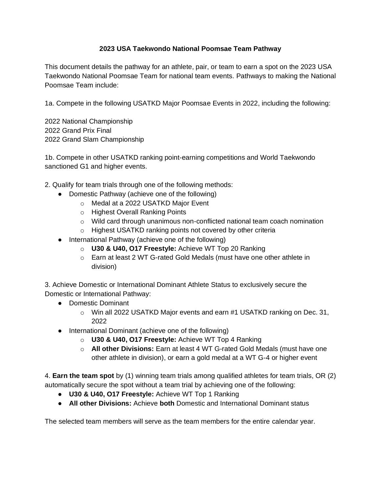## **2023 USA Taekwondo National Poomsae Team Pathway**

This document details the pathway for an athlete, pair, or team to earn a spot on the 2023 USA Taekwondo National Poomsae Team for national team events. Pathways to making the National Poomsae Team include:

1a. Compete in the following USATKD Major Poomsae Events in 2022, including the following:

2022 National Championship 2022 Grand Prix Final 2022 Grand Slam Championship

1b. Compete in other USATKD ranking point-earning competitions and World Taekwondo sanctioned G1 and higher events.

- 2. Qualify for team trials through one of the following methods:
	- Domestic Pathway (achieve one of the following)
		- o Medal at a 2022 USATKD Major Event
		- o Highest Overall Ranking Points
		- $\circ$  Wild card through unanimous non-conflicted national team coach nomination
		- o Highest USATKD ranking points not covered by other criteria
	- International Pathway (achieve one of the following)
		- o **U30 & U40, O17 Freestyle:** Achieve WT Top 20 Ranking
		- o Earn at least 2 WT G-rated Gold Medals (must have one other athlete in division)

3. Achieve Domestic or International Dominant Athlete Status to exclusively secure the Domestic or International Pathway:

- Domestic Dominant
	- $\circ$  Win all 2022 USATKD Major events and earn #1 USATKD ranking on Dec. 31, 2022
- International Dominant (achieve one of the following)
	- o **U30 & U40, O17 Freestyle:** Achieve WT Top 4 Ranking
	- o **All other Divisions:** Earn at least 4 WT G-rated Gold Medals (must have one other athlete in division), or earn a gold medal at a WT G-4 or higher event

4. **Earn the team spot** by (1) winning team trials among qualified athletes for team trials, OR (2) automatically secure the spot without a team trial by achieving one of the following:

- **U30 & U40, O17 Freestyle:** Achieve WT Top 1 Ranking
- **All other Divisions:** Achieve **both** Domestic and International Dominant status

The selected team members will serve as the team members for the entire calendar year.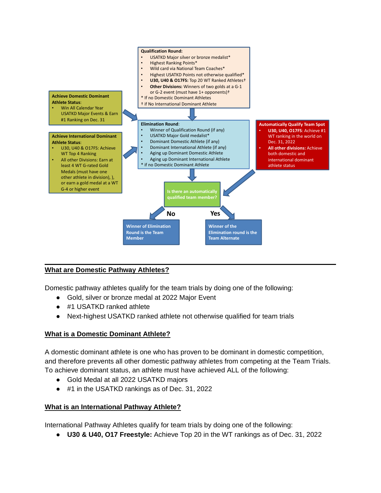

# **What are Domestic Pathway Athletes?**

Domestic pathway athletes qualify for the team trials by doing one of the following:

- Gold, silver or bronze medal at 2022 Major Event
- #1 USATKD ranked athlete
- Next-highest USATKD ranked athlete not otherwise qualified for team trials

#### **What is a Domestic Dominant Athlete?**

A domestic dominant athlete is one who has proven to be dominant in domestic competition, and therefore prevents all other domestic pathway athletes from competing at the Team Trials. To achieve dominant status, an athlete must have achieved ALL of the following:

- Gold Medal at all 2022 USATKD majors
- #1 in the USATKD rankings as of Dec. 31, 2022

## **What is an International Pathway Athlete?**

International Pathway Athletes qualify for team trials by doing one of the following:

● **U30 & U40, O17 Freestyle:** Achieve Top 20 in the WT rankings as of Dec. 31, 2022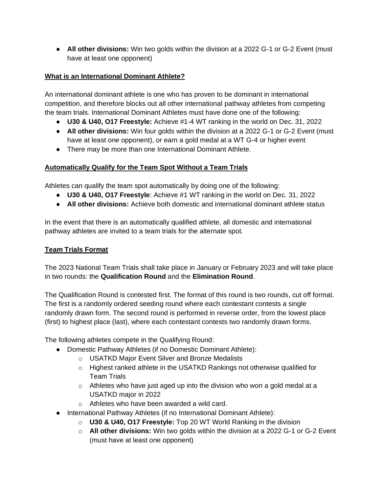● **All other divisions:** Win two golds within the division at a 2022 G-1 or G-2 Event (must have at least one opponent)

## **What is an International Dominant Athlete?**

An international dominant athlete is one who has proven to be dominant in international competition, and therefore blocks out all other international pathway athletes from competing the team trials. International Dominant Athletes must have done one of the following:

- **U30 & U40, O17 Freestyle:** Achieve #1-4 WT ranking in the world on Dec. 31, 2022
- **All other divisions:** Win four golds within the division at a 2022 G-1 or G-2 Event (must have at least one opponent), or earn a gold medal at a WT G-4 or higher event
- There may be more than one International Dominant Athlete.

# **Automatically Qualify for the Team Spot Without a Team Trials**

Athletes can qualify the team spot automatically by doing one of the following:

- **U30 & U40, O17 Freestyle**: Achieve #1 WT ranking in the world on Dec. 31, 2022
- **All other divisions:** Achieve both domestic and international dominant athlete status

In the event that there is an automatically qualified athlete, all domestic and international pathway athletes are invited to a team trials for the alternate spot.

## **Team Trials Format**

The 2023 National Team Trials shall take place in January or February 2023 and will take place in two rounds: the **Qualification Round** and the **Elimination Round**.

The Qualification Round is contested first. The format of this round is two rounds, cut off format. The first is a randomly ordered seeding round where each contestant contests a single randomly drawn form. The second round is performed in reverse order, from the lowest place (first) to highest place (last), where each contestant contests two randomly drawn forms.

The following athletes compete in the Qualifying Round:

- Domestic Pathway Athletes (if no Domestic Dominant Athlete):
	- o USATKD Major Event Silver and Bronze Medalists
	- o Highest ranked athlete in the USATKD Rankings not otherwise qualified for Team Trials
	- $\circ$  Athletes who have just aged up into the division who won a gold medal at a USATKD major in 2022
	- o Athletes who have been awarded a wild card.
- International Pathway Athletes (if no International Dominant Athlete):
	- o **U30 & U40, O17 Freestyle:** Top 20 WT World Ranking in the division
	- o **All other divisions:** Win two golds within the division at a 2022 G-1 or G-2 Event (must have at least one opponent)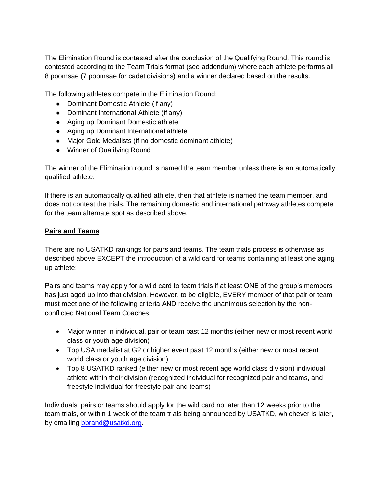The Elimination Round is contested after the conclusion of the Qualifying Round. This round is contested according to the Team Trials format (see addendum) where each athlete performs all 8 poomsae (7 poomsae for cadet divisions) and a winner declared based on the results.

The following athletes compete in the Elimination Round:

- Dominant Domestic Athlete (if any)
- Dominant International Athlete (if any)
- Aging up Dominant Domestic athlete
- Aging up Dominant International athlete
- Major Gold Medalists (if no domestic dominant athlete)
- Winner of Qualifying Round

The winner of the Elimination round is named the team member unless there is an automatically qualified athlete.

If there is an automatically qualified athlete, then that athlete is named the team member, and does not contest the trials. The remaining domestic and international pathway athletes compete for the team alternate spot as described above.

### **Pairs and Teams**

There are no USATKD rankings for pairs and teams. The team trials process is otherwise as described above EXCEPT the introduction of a wild card for teams containing at least one aging up athlete:

Pairs and teams may apply for a wild card to team trials if at least ONE of the group's members has just aged up into that division. However, to be eligible, EVERY member of that pair or team must meet one of the following criteria AND receive the unanimous selection by the nonconflicted National Team Coaches.

- Major winner in individual, pair or team past 12 months (either new or most recent world class or youth age division)
- Top USA medalist at G2 or higher event past 12 months (either new or most recent world class or youth age division)
- Top 8 USATKD ranked (either new or most recent age world class division) individual athlete within their division (recognized individual for recognized pair and teams, and freestyle individual for freestyle pair and teams)

Individuals, pairs or teams should apply for the wild card no later than 12 weeks prior to the team trials, or within 1 week of the team trials being announced by USATKD, whichever is later, by emailing **bbrand@usatkd.org**.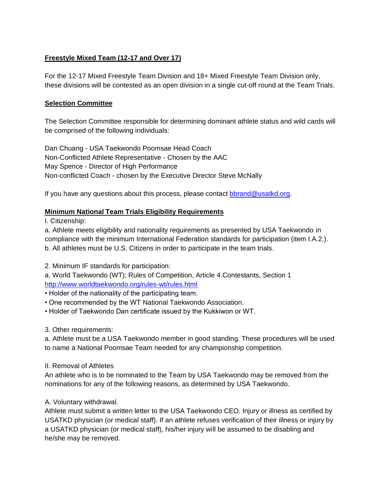# **Freestyle Mixed Team (12-17 and Over 17)**

For the 12-17 Mixed Freestyle Team Division and 18+ Mixed Freestyle Team Division only, these divisions will be contested as an open division in a single cut-off round at the Team Trials.

### **Selection Committee**

The Selection Committee responsible for determining dominant athlete status and wild cards will be comprised of the following individuals:

Dan Chuang - USA Taekwondo Poomsae Head Coach Non-Conflicted Athlete Representative - Chosen by the AAC May Spence - Director of High Performance Non-conflicted Coach - chosen by the Executive Director Steve McNally

If you have any questions about this process, please contact [bbrand@usatkd.org.](mailto:bbrand@usatkd.org)

### **Minimum National Team Trials Eligibility Requirements**

I. Citizenship:

a. Athlete meets eligibility and nationality requirements as presented by USA Taekwondo in compliance with the minimum International Federation standards for participation (item I.A.2.). b. All athletes must be U.S. Citizens in order to participate in the team trials.

2. Minimum IF standards for participation:

a. World Taekwondo (WT); Rules of Competition, Article 4.Contestants, Section 1 <http://www.worldtaekwondo.org/rules-wt/rules.html>

• Holder of the nationality of the participating team.

- One recommended by the WT National Taekwondo Association.
- Holder of Taekwondo Dan certificate issued by the Kukkiwon or WT.
- 3. Other requirements:

a. Athlete must be a USA Taekwondo member in good standing. These procedures will be used to name a National Poomsae Team needed for any championship competition.

II. Removal of Athletes

An athlete who is to be nominated to the Team by USA Taekwondo may be removed from the nominations for any of the following reasons, as determined by USA Taekwondo.

## A. Voluntary withdrawal.

Athlete must submit a written letter to the USA Taekwondo CEO. Injury or illness as certified by USATKD physician (or medical staff). If an athlete refuses verification of their illness or injury by a USATKD physician (or medical staff), his/her injury will be assumed to be disabling and he/she may be removed.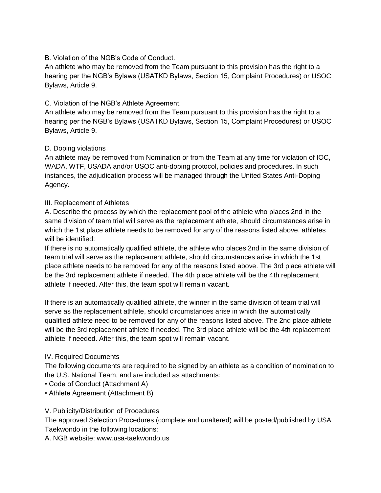## B. Violation of the NGB's Code of Conduct.

An athlete who may be removed from the Team pursuant to this provision has the right to a hearing per the NGB's Bylaws (USATKD Bylaws, Section 15, Complaint Procedures) or USOC Bylaws, Article 9.

## C. Violation of the NGB's Athlete Agreement.

An athlete who may be removed from the Team pursuant to this provision has the right to a hearing per the NGB's Bylaws (USATKD Bylaws, Section 15, Complaint Procedures) or USOC Bylaws, Article 9.

### D. Doping violations

An athlete may be removed from Nomination or from the Team at any time for violation of IOC, WADA, WTF, USADA and/or USOC anti-doping protocol, policies and procedures. In such instances, the adjudication process will be managed through the United States Anti-Doping Agency.

### III. Replacement of Athletes

A. Describe the process by which the replacement pool of the athlete who places 2nd in the same division of team trial will serve as the replacement athlete, should circumstances arise in which the 1st place athlete needs to be removed for any of the reasons listed above. athletes will be identified:

If there is no automatically qualified athlete, the athlete who places 2nd in the same division of team trial will serve as the replacement athlete, should circumstances arise in which the 1st place athlete needs to be removed for any of the reasons listed above. The 3rd place athlete will be the 3rd replacement athlete if needed. The 4th place athlete will be the 4th replacement athlete if needed. After this, the team spot will remain vacant.

If there is an automatically qualified athlete, the winner in the same division of team trial will serve as the replacement athlete, should circumstances arise in which the automatically qualified athlete need to be removed for any of the reasons listed above. The 2nd place athlete will be the 3rd replacement athlete if needed. The 3rd place athlete will be the 4th replacement athlete if needed. After this, the team spot will remain vacant.

#### IV. Required Documents

The following documents are required to be signed by an athlete as a condition of nomination to the U.S. National Team, and are included as attachments:

- Code of Conduct (Attachment A)
- Athlete Agreement (Attachment B)
- V. Publicity/Distribution of Procedures

The approved Selection Procedures (complete and unaltered) will be posted/published by USA Taekwondo in the following locations:

A. NGB website: www.usa-taekwondo.us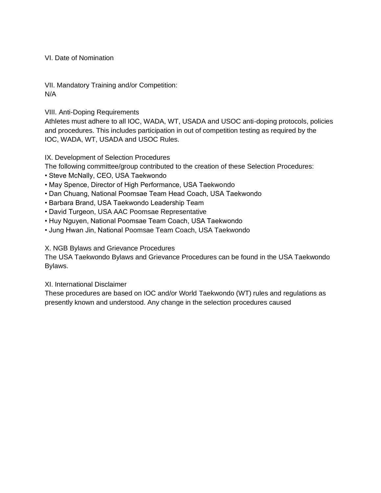VI. Date of Nomination

VII. Mandatory Training and/or Competition: N/A

VIII. Anti-Doping Requirements

Athletes must adhere to all IOC, WADA, WT, USADA and USOC anti-doping protocols, policies and procedures. This includes participation in out of competition testing as required by the IOC, WADA, WT, USADA and USOC Rules.

IX. Development of Selection Procedures

The following committee/group contributed to the creation of these Selection Procedures:

- Steve McNally, CEO, USA Taekwondo
- May Spence, Director of High Performance, USA Taekwondo
- Dan Chuang, National Poomsae Team Head Coach, USA Taekwondo
- Barbara Brand, USA Taekwondo Leadership Team
- David Turgeon, USA AAC Poomsae Representative
- Huy Nguyen, National Poomsae Team Coach, USA Taekwondo
- Jung Hwan Jin, National Poomsae Team Coach, USA Taekwondo

#### X. NGB Bylaws and Grievance Procedures

The USA Taekwondo Bylaws and Grievance Procedures can be found in the USA Taekwondo Bylaws.

#### XI. International Disclaimer

These procedures are based on IOC and/or World Taekwondo (WT) rules and regulations as presently known and understood. Any change in the selection procedures caused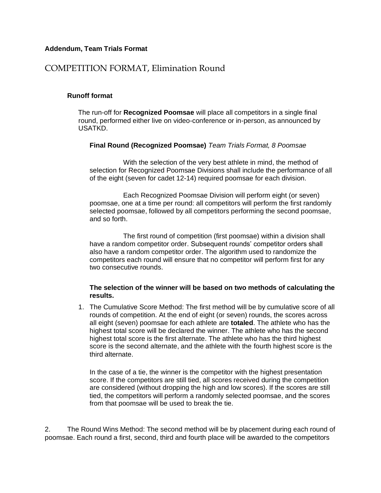#### **Addendum, Team Trials Format**

# COMPETITION FORMAT, Elimination Round

#### **Runoff format**

The run-off for **Recognized Poomsae** will place all competitors in a single final round, performed either live on video-conference or in-person, as announced by USATKD.

#### **Final Round (Recognized Poomsae)** *Team Trials Format, 8 Poomsae*

With the selection of the very best athlete in mind, the method of selection for Recognized Poomsae Divisions shall include the performance of all of the eight (seven for cadet 12-14) required poomsae for each division.

Each Recognized Poomsae Division will perform eight (or seven) poomsae, one at a time per round: all competitors will perform the first randomly selected poomsae, followed by all competitors performing the second poomsae, and so forth.

The first round of competition (first poomsae) within a division shall have a random competitor order. Subsequent rounds' competitor orders shall also have a random competitor order. The algorithm used to randomize the competitors each round will ensure that no competitor will perform first for any two consecutive rounds.

#### **The selection of the winner will be based on two methods of calculating the results.**

1. The Cumulative Score Method: The first method will be by cumulative score of all rounds of competition. At the end of eight (or seven) rounds, the scores across all eight (seven) poomsae for each athlete are **totaled**. The athlete who has the highest total score will be declared the winner. The athlete who has the second highest total score is the first alternate. The athlete who has the third highest score is the second alternate, and the athlete with the fourth highest score is the third alternate.

In the case of a tie, the winner is the competitor with the highest presentation score. If the competitors are still tied, all scores received during the competition are considered (without dropping the high and low scores). If the scores are still tied, the competitors will perform a randomly selected poomsae, and the scores from that poomsae will be used to break the tie.

2. The Round Wins Method: The second method will be by placement during each round of poomsae. Each round a first, second, third and fourth place will be awarded to the competitors